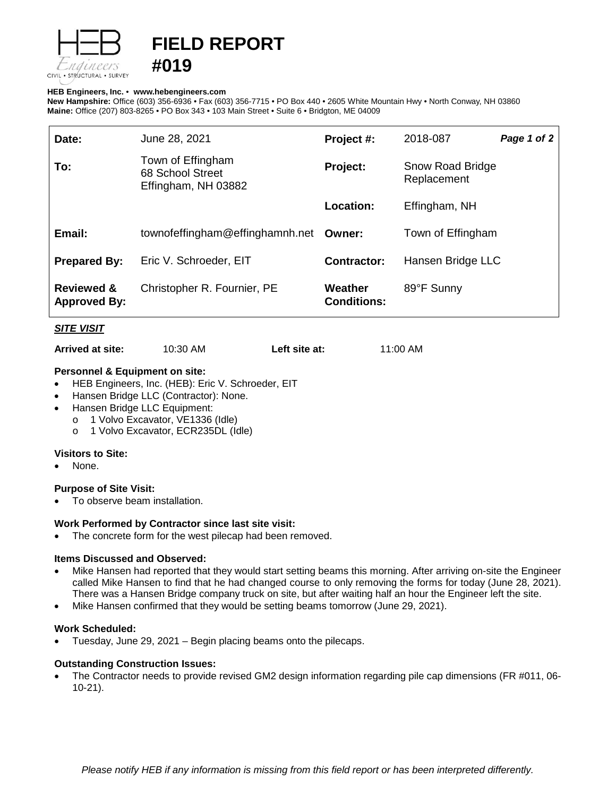

# **FIELD REPORT #019**

#### **HEB Engineers, Inc.** • **[www.hebengineer](http://www.hebengineers.com/)s.com**

**New Hampshire:** Office (603) 356-6936 • Fax (603) 356-7715 • PO Box 440 • 2605 White Mountain Hwy • North Conway, NH 03860 **Maine:** Office (207) 803-8265 • PO Box 343 • 103 Main Street • Suite 6 • Bridgton, ME 04009

| Date:                                        | June 28, 2021                                                | Project #:                    | 2018-087                        | Page 1 of 2 |
|----------------------------------------------|--------------------------------------------------------------|-------------------------------|---------------------------------|-------------|
| To:                                          | Town of Effingham<br>68 School Street<br>Effingham, NH 03882 | Project:                      | Snow Road Bridge<br>Replacement |             |
|                                              |                                                              | Location:                     | Effingham, NH                   |             |
| Email:                                       | townofeffingham@effinghamnh.net                              | Owner:                        | Town of Effingham               |             |
| <b>Prepared By:</b>                          | Eric V. Schroeder, EIT                                       | Contractor:                   | Hansen Bridge LLC               |             |
| <b>Reviewed &amp;</b><br><b>Approved By:</b> | Christopher R. Fournier, PE                                  | Weather<br><b>Conditions:</b> | 89°F Sunny                      |             |

### *SITE VISIT*

**Arrived at site:** 10:30 AM **Left site at:** 11:00 AM

### **Personnel & Equipment on site:**

- HEB Engineers, Inc. (HEB): Eric V. Schroeder, EIT
- Hansen Bridge LLC (Contractor): None.
- Hansen Bridge LLC Equipment:
	- o 1 Volvo Excavator, VE1336 (Idle)
	- o 1 Volvo Excavator, ECR235DL (Idle)

#### **Visitors to Site:**

None.

#### **Purpose of Site Visit:**

• To observe beam installation.

#### **Work Performed by Contractor since last site visit:**

The concrete form for the west pilecap had been removed.

#### **Items Discussed and Observed:**

- Mike Hansen had reported that they would start setting beams this morning. After arriving on-site the Engineer called Mike Hansen to find that he had changed course to only removing the forms for today (June 28, 2021). There was a Hansen Bridge company truck on site, but after waiting half an hour the Engineer left the site.
- Mike Hansen confirmed that they would be setting beams tomorrow (June 29, 2021).

#### **Work Scheduled:**

• Tuesday, June 29, 2021 – Begin placing beams onto the pilecaps.

#### **Outstanding Construction Issues:**

• The Contractor needs to provide revised GM2 design information regarding pile cap dimensions (FR #011, 06- 10-21).